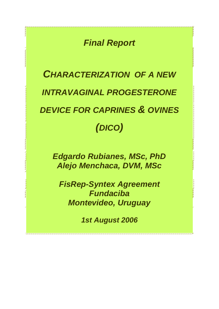*Final Report*

# *CHARACTERIZATION OF A NEW INTRAVAGINAL PROGESTERONE DEVICE FOR CAPRINES & OVINES (DICO)*

*Edgardo Rubianes, MSc, PhD Alejo Menchaca, DVM, MSc*

*FisRep-Syntex Agreement Fundaciba Montevideo, Uruguay*

*1st August 2006*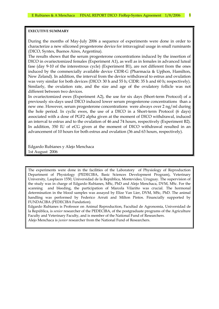#### **EXECUTIVE SUMMARY**

During the months of May-July 2006 a sequence of experiments were done in order to characterize a new siliconed progesterone device for intravaginal usage in small ruminants (DICO, Syntex, Buenos Aires, Argentina).

The results shows that the serum progesterone concentrations induced by the insertion of DICO in ovariectomized females (Experiment A1), as well as in females in advanced luteal fase (day 9-10 of the interestrous cycle) (Experiment B1), are not different from the ones induced by the commercially available device CIDR-G (Pharmacia & Upjhon, Hamilton, New Zeland). In addition, the interval from the device withdrawal to estrus and ovulation was very similar for both devices (DICO: 30 h and 55 h; CIDR: 35 h and 60 h; respectively). Similarly, the ovulation rate, and the size and age of the ovulatory follicle was not different between two devices.

In ovariectomized ewes (Experiment A2), the use for six days (Short-term Protocol) of a previously six-days used DICO induced lower serum progesterone concentrations than a new one. However, serum progesterone concentrations were always over 2 ng/ml during the hole period. In cyclic ewes, the use of a DICO in a Short-term Protocol (6 days) associated with a dose of PGF2 alpha given at the moment of DICO withdrawal, induced an interval to estrus and to the ovulation of 46 and 74 hours, respectively (Experiment B2). In addition, 350 IU of eCG given at the moment of DICO withdrawal resulted in an advancement of 10 hours for both estrus and ovulation (36 and 63 hours, respectively).

Edgardo Rubianes y Alejo Menchaca 1st August 2006

The experiments were done in the facilities of the Laboratory of Physiology of Reproduction Department of Physiology (PEDECIBA, Basic Sciences Development Program), Veterinary University, Lasplaces 1550, Universidad de la República, Montevideo, Uruguay. The supervision of the study was in charge of Edgardo Rubianes, MSc, PhD and Alejo Menchaca, DVM, MSc. For the scanning and bleeding, the participation of Marcela Vilariño was crucial. The hormonal determination in the blood samples was assayed by Elize Van Lier, DVM, MSc, PhD. The animal handling was performed by Federico Arruti and Milton Pintos. Financially supported by FUNDACIBA (PEDECIBA Fundation).

Edgardo Rubianes is Professor on Animal Reproduction, Facultad de Agronomía, Universidad de la República, is *senior* researcher of the PEDECIBA, of the postgraduate programs of the Agriculture Faculty and Veterinary Faculty, and is member of the National Fund of Researchers.

Alejo Menchaca is *junior* researcher from the National Fund of Researchers.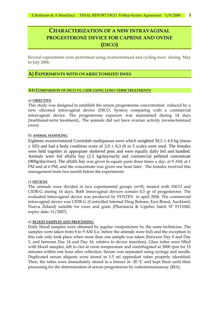# **CHARACTERIZATION OF A NEW INTRAVAGINAL PROGESTERONE DEVICE FOR CAPRINE AND OVINE (DICO)**

Several experiments were performed using ovariectomized and cycling ewes during May to July 2006.

# **A) EXPERIMENTS WITH OVARIECTOMIZED EWES**

#### **A1) COMPARISON OF DICO VS. CIDR USING LONG-TERM TREATMENTS**

#### a) **OBJECTIVE**

This study was designed to establish the serum progesterone concentration induced by a new siliconed intravaginal device (DICO, Syntex) comparing with a commercial intravaginal device. The progesterone exposure was maintained during 14 days (traditional-term treatment),. The animals did not have ovarian activity (ovariectomized ewes).

#### b) **ANIMAL HANDLING**

Eighteen ovariectomized Corriedale multiparous ewes which weighted  $50,5 \pm 4,9$  kg (mean  $\pm$  SD) and had a body condition score of 3,9  $\pm$  0,3 (0 to 5 scale) were used. The females were held together in appropiate sheltered pens and were equally daily fed and handled. Animals were fed alfalfa hay (2.5 kg/day/each) and commercial pelleted concentrate (900g/day/ewe). The alfalfa hay was given in equals parts three times a day: at 9 AM; at 1 PM and at 6 PM, and the concentrate was given one hour later. The females received this management from two month before the experiments

#### c) **DEVICES**

The animals were divided in two experimental groups (n=9), treated with DICO and CIDR-G during 14 days. Both intravaginal devices contain 0,3 gr of progesterone. The evaluated intravaginal device was produced by SYNTEX in april 2006. The commercial intravaginal device was CIDR-G (Controlled Internal Drug Release, Eazi-Breed, Auckland, Nueva Zeland) suitable for ewes and goats (Pharmacia & Upjohn; batch Nº F111042; expiry date: 11/2007).

# e) **BLOOD SAMPLES AND PROCESSING**

Daily blood samples were obtained by jugular venipuncture by the same technician. The samples were taken from 8 to 9 AM (i.e. before the animals were fed) and the exception to this rule only took place when more than one sample was taken (between Day 0 and Day 1, and between Day 14 and Day 16, relative to device insertion). Glass tubes were filled with blood samples, left to clot at room temperature and centrifugated at 3000 rpm for 15 minutes within one hour after collection. Serum was separated using syringe and needle. Duplicated serum aliquots were stored in 1.5 ml eppendorf tubes properly identified. Then, the tubes were immediately stored in a freezer at -20 °C and kept there until their processing for the determination of serum progesterone by radioimmunoassay (RIA).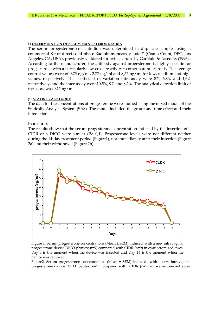#### f) **DETERMINATION OF SERUM PROGESTERONE BY RIA**

The serum progesterone concentration was determined in duplicate samples using a commercial Kit of direct solid-phase Radioimmunoassay Iodo**<sup>125</sup>** (Coat-a-Count, DPC, Los Angeles, CA, USA), previously validated for ovine serum by Garófalo & Tasende, (1996).. According to the manufacturer, the antibody against progesterone is highly specific for progesterone with a particularly low cross reactivity to other natural steroids. The average control values were of 0,75 ng/ml, 2,77 ng/ml and 8,57 ng/ml for low, medium and high values, respectively. The coefficient of variation intra-assay were 8%, 6,8% and 4,6% respectively, and the inter-assay were 10,5%, 9% and 8,2%. The analytical detection limit of the assay was 0,12 ng/ml.

#### g) **STATISTICAL STUDIES**

The data for the concentrations of progesterone were studied using the mixed model of the Statically Analysis System (SAS). The model included the group and time effect and their interaction.

#### h) **RESULTS**

The results show that the serum progesterone concentration induced by the insertion of a CIDR or a DICO were similar  $(P> 0,1)$ . Progesterone levels were not different neither during the 14-day treatment period (Figure1), nor immediately after their insertion (Figure 2a) and their withdrawal (Figure 2b).



Figure 1. Serum progesterone concentrations (Mean ± SEM) induced with a new intravaginal progesterone device DICO (Syntex; n=9) compared with CIDR (n=9) in ovariectomized ewes. Day 0 is the moment when the device was inserted and Day 14 is the moment when the device was removed.

Figure2. Serum progesterone concentrations (Mean ± SEM) induced with a new intravaginal progesterone device DICO (Syntex; n=9) compared with CIDR (n=9) in ovariectomized ewes.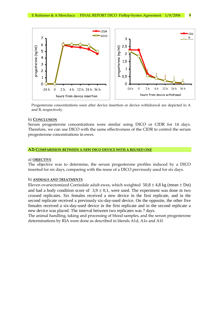

Progesterone concentrations soon after device insertion or device withdrawal are depicted in A and B, respectively.

#### h) **CONCLUSION**

Serum progesterone concentrations were similar using DICO or CIDR for 14 days. Therefore, we can use DICO with the same effectiveness of the CIDR to control the serum progesterone concentrations in ewes.

#### **A2) COMPARISION BETWEEN A NEW DICO DEVICE WITH A REUSED ONE**

#### a) **OBJECTIVE**

The objective was to determine, the serum progesterone profiles induced by a DICO inserted for six days, comparing with the reuse of a DICO previously used for six days.

# b) **ANIMALS AND TREATMENTS**

Eleven ovariectomized Corriedale adult ewes, which weighted  $50,8 \pm 4,8$  kg (mean  $\pm$  Dst) and had a body condition score of  $3.9 \pm 0.1$ , were used. The experiment was done in two crossed replicates. Six females received a new device in the first replicate, and in the second replicate received a previously six-day-used device. On the opposite, the other five females received a six-day-used device in the first replicate and in the second replicate a new device was placed. The interval between two replicates was 7 days.

The animal handling, taking and processing of blood samples, and the serum progesterone determinations by RIA were done as described in literals A1d, A1e and A1f.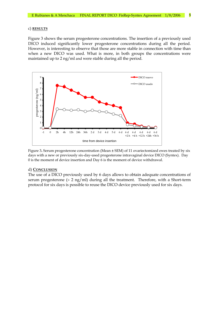#### c) **RESULTS**

Figure 3 shows the serum progesterone concentrations. The insertion of a previously used DICO induced significantly lower progesterone concentrations during all the period. However, is interesting to observe that those are more stable in connection with time than when a new DICO was used. What is more, in both groups the concentrations were maintained up to 2 ng/ml and were stable during all the period.



Figure 3**.** Serum progesterone concentration (Mean ± SEM) of 11 ovariectomized ewes treated by six days with a new or previously six-day-used progesterone intravaginal device DICO (Syntex). Day 0 is the moment of device insertion and Day 6 is the moment of device withdrawal.

#### d) **CONCLUSION**

The use of a DICO previously used by 6 days allows to obtain adequate concentrations of serum progesterone  $(> 2 \nvert p/m)$  during all the treatment. Therefore, with a Short-term protocol for six days is possible to reuse the DICO device previously used for six days.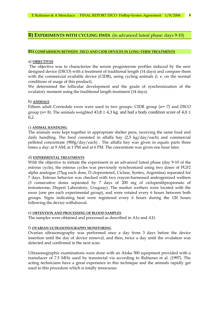# **B) EXPERIMENTS WITH CYCLING EWES** (in advanced luteal phase: days 9-10)

#### **B1) COMPARISION BETWEEN DICO AND CIDR DEVICES IN LONG-TERM TREATMENTS**

#### a) **OBJECTIVES**

The objective was to characterize the serum progesterone profiles induced by the new designed device (DICO) with a treatment of traditional length (14 days) and compare them with the commercial available device (CIDR), using cycling animals (i. e. on the normal conditions of usage of this product).

We determined the follicular development and the grade of synchronization of the ovulatory moment using the traditional length treatment (14 days).

#### b) **ANIMALS**

Fifteen adult Corriedale ewes were used in two groups: CIDR group (n= 7) and DICO group (n= 8). The animals weighted  $43,8 \pm 4,3$  kg. and had a body condition score of  $4,0 \pm 1$ 0,2.

#### c) **ANIMAL HANDLING**

The animals were kept together in appropriate shelter pens, receiving the same food and daily handling. The food consisted in alfalfa hay (2,5 kg/day/each) and commercial pelleted concentrate (900g/day/each) . The alfalfa hay was given in equals parts three times a day: at 9 AM; at 1 PM and at 6 PM. The concentrate was given one hour later.

#### d) **EXPERIMENTAL TREATMENTS**

With the objective to initiate the experiment in an advanced luteal phase (day 9-10 of the estrous cycle), the estrous cycles was previously synchronized using two doses of PGF2 alpha analogue (75µg each dose, D cloprostenol, Ciclase, Syntex, Argentina) separated for 7 days. Estrous behavior was checked with two crayon-harnessed androgenized wethers (3 consecutive doses separated by 7 days of 200 mg of ciclopentilpropionato of testosterone, Dispert Laboratory, Uruguay). The marker wethers were located with the ewes (one per each experimental group), and were rotated every 6 hours between both groups. Signs indicating heat were registered every 6 hours during the 120 hours following the device withdrawal.

#### e) **OBTENTION AND PROCESSING OF BLOOD SAMPLES**

The samples were obtained and processed as described in A1e and A1f.

#### f) **OVARIAN ULTRASONOGRAPHY MONITORING**

Ovarian ultrasonography was performed once a day from 3 days before the device insertion until the day of device removal, and then, twice a day until the ovulation was detected and confirmed in the next scan.

Ultrasonographic examinations were done with an Aloka 500 equipment provided with a transducer of 7.5 MHz used by transrectal via according to Rubianes et al. (1997). The acting technicians have a great experience in this technique and the animals rapidly get used to this procedure which is totally innocuous.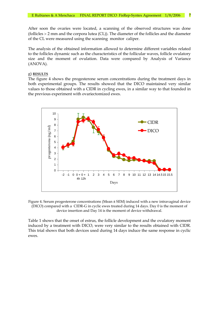After soon the ovaries were located, a scanning of the observed structures was done (follicles 2 mm and the corpora lutea (CL)). The diameter of the follicles and the diameter of the CL were measured using the scanning monitor caliper.

The analysis of the obtained information allowed to determine different variables related to the follicles dynamic such as the characteristics of the follicular waves, follicle ovulatory size and the moment of ovulation. Data were compared by Analysis of Variance (ANOVA).

#### g) **RESULTS**

The figure 4 shows the progesterone serum concentrations during the treatment days in both experimental groups. The results showed that the DICO maintained very similar values to those obtained with a CIDR in cycling ewes, in a similar way to that founded in the previous experiment with ovariectomized ewes.



Figure 4. Serum progesterone concentrations (Mean ± SEM) induced with a new intravaginal device (DICO) compared with a CIDR-G in cyclic ewes treated during 14 days. Day 0 is the moment of device insertion and Day 14 is the moment of device withdrawal.

Table 1 shows that the onset of estrus, the follicle development and the ovulatory moment induced by a treatment with DICO, were very similar to the results obtained with CIDR. This trial shows that both devices used during 14 days induce the same response in cyclic ewes.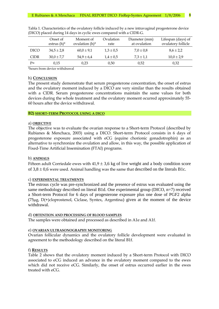|             | Onset of<br>estrus $(h)^*$ | Moment of<br>ovulation $(h)^*$ | Ovulation<br>rate | Diameter (mm)<br>at ovulation | Lifespan (days) of<br>ovulatory follicle |
|-------------|----------------------------|--------------------------------|-------------------|-------------------------------|------------------------------------------|
| <b>DICO</b> | $34.5 \pm 2.8$             | $60.0 \pm 9.1$                 | $1.3 \pm 0.5$     | $7.0 \pm 0.8$                 | $8.6 \pm 2.2$                            |
| <b>CIDR</b> | $30,0 \pm 7,7$             | $54.9 \pm 6.4$                 | $1.4 \pm 0.5$     | $7.3 \pm 1.1$                 | $10,0 \pm 2,9$                           |
| $P=$        | 0,15                       | 0,23                           | 0,50              | 0.52                          | 0,32                                     |

Tabla 1. Characteristics of the ovulatory follicle induced by a new intravaginal progesterone device (DICO) placed during 14 days in cyclic ewes compared with a CIDR-G.

\*hours from device withdrawal

# h) **CONCLUSION**

The present study demonstrate that serum progesterone concentration, the onset of estrus and the ovulatory moment induced by a DICO are very similar than the results obtained with a CIDR. Serum progesterone concentrations maintain the same values for both devices during the whole treatment and the ovulatory moment ocurred approximately 55- 60 hours after the device withdrawal.

#### **B2) SHORT-TERM PROTOCOL USING A DICO**

# a) **OBJECTIVE**

The objective was to evaluate the ovarian response to a Short-term Protocol (described by Rubianes & Menchaca, 2003) using a DICO. Short-term Protocol consists in 6 days of progesterone exposure associated with eCG (equine chorionic gonadotrophin) as an alternative to synchronize the ovulation and allow, in this way, the possible application of Fixed-Time Artificial Insemination (FTAI) programs.

# b) **ANIMALS**

Fifteen adult Corriedale ewes with  $41.9 \pm 3.6$  kg of live weight and a body condition score of  $3.8 \pm 0.6$  were used. Animal handling was the same that described on the literals B1c.

# c) **EXPERIMENTAL TREATMENTS**

The estrous cycle was pre-synchronized and the presence of estrus was evaluated using the same methodology described on literal B1d. One experimental group (DICO, n=7) received a Short-term Protocol for 6 days of progesterone exposure plus one dose of PGF2 alpha ( $75\mu$ g,  $D(+)$ cloprostenol, Ciclase, Syntex, Argentina) given at the moment of the device withdrawal.

# d) **OBTENTION AND PROCESSING OF BLOOD SAMPLES**

The samples were obtained and processed as described in A1e and A1f.

# e) **OVARIAN ULTRASONOGRAPHY MONITORING**

Ovarian follicular dynamics and the ovulatory follicle development were evaluated in agreement to the methodology described on the literal B1f.

# f) **RESULTS**

Table 2 shows that the ovulatory moment induced by a Short-term Protocol with DICO associated to eCG induced an advance in the ovulatory moment compared to the ewes which did not receive eCG. Similarly, the onset of estrus occurred earlier in the ewes treated with eCG.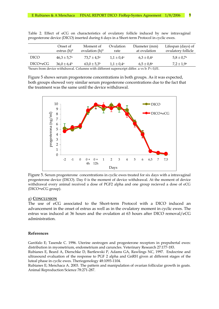|             | Onset of<br>estrus $(h)^*$ | Moment of<br>ovulation $(h)^*$ | Ovulation<br>rate        | Diameter (mm)<br>at ovulation                                                                                                 | Lifespan (days) of<br>ovulatory follicle |
|-------------|----------------------------|--------------------------------|--------------------------|-------------------------------------------------------------------------------------------------------------------------------|------------------------------------------|
| <b>DICO</b> | $46.3 \pm 5.7^{\circ}$     | $73.7 \pm 4.5^{\circ}$         | $1.1 \pm 0.4^{\rm a}$    | $6.3 \pm 0.4^{\rm a}$                                                                                                         | $5.8 \pm 0.7^{\rm a}$                    |
| DICO+eCG    | $36.0 \pm 6.4^b$           | $63,0 \pm 5,3^b$               | $1.1 \pm 0.4^{\text{a}}$ | $6.5 \pm 0.8^{\rm a}$                                                                                                         | $7.2 \pm 1.9^{\rm a}$                    |
|             |                            |                                |                          | $*$ hours from dovice with draws $\alpha$ Columns with different sympressipate different $\alpha$ vs $\alpha$ D $\alpha$ 0.01 |                                          |

Table 2. Effect of eCG on characteristics of ovulatory follicle induced by new intravaginal progesterone device (DICO) inserted during 6 days in a Short-term Protocol in cyclic ewes.

 $\cdot$ nours from device withdrawal. Columns with different superscript differ. a vs b: P< 0,01.

Figure 5 shows serum progesterone concentrations in both groups. As it was expected, both groups showed very similar serum progesterone concentrations due to the fact that the treatment was the same until the device withdrawal.



Figure 5. Serum progesterone concentrations in cyclic ewes treated for six days with a intravaginal progesterone device (DICO). Day 0 is the moment of device withdrawal. At the moment of device withdrawal every animal received a dose of PGF2 alpha and one group recieved a dose of eCG (DICO+eCG group).

#### g) **CONCLUSION**

The use of eCG associated to the Short-term Protocol with a DICO induced an advancement in the onset of estrus as well as in the ovulatory moment in cyclic ewes. The estrus was induced at 36 hours and the ovulation at 63 hours after DICO removal/eCG administration.

#### **References**

Garófalo E; Tasende C. 1996. Uterine oestrogen and progesterone receptors in prepubertal ewes: distribution in myometrium, endometrium and caruncles. Veterinary Research 27:177-183.

Rubianes E, Beard A, Dierschke D, Bartlewski P, Adams GA, Rawlings NC, 1997. Endocrine and ultrasound evaluation of the response to PGF 2 alpha and GnRH given at different stages of the luteal phase in cyclic ewes. Theriogenology 48:1093-1104.

Rubianes E; Menchaca A. 2003. The pattern and manipulation of ovarian follicular growth in goats. Animal Reproduction Science 78:271-287.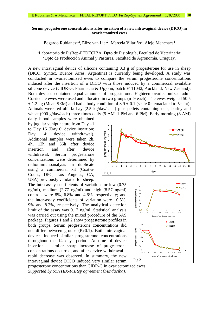# **Serum progesterone concentrations after insertion of a new intravaginal device (DICO) in ovariectomized ewes**

Edgardo Rubianes<sup>1,2</sup>, Elize van Lier<sup>2</sup>, Marcela Vilariño<sup>1</sup>, Alejo Menchaca<sup>1</sup>

<sup>1</sup>Laboratorio de FisRep-PEDECIBA, Dpto de Fisiología, Facultad de Veterinaria; <sup>2</sup>Dpto de Producción Animal y Pasturas, Facultad de Agronomía, Uruguay.

A new intravaginal device of silicone containing 0.3 g of progesterone for use in sheep (DICO, Syntex, Buenos Aires, Argentina) is currently being developed. A study was conducted in ovariectomized ewes to compare the serum progesterone concentrations induced after the insertion of a DICO with those induced by a commercial available silicone device (CIDR-G, Pharmacia & Upjohn; batch F111042, Auckland, New Zealand). Both devices contained equal amounts of progesterone. Eighteen ovariectomized adult Corriedale ewes were used and allocated in two groups (n=9 each). The ewes weighed 50.5  $\pm$  1.2 kg (Mean SEM) and had a body condition of 3.9  $\pm$  0.1 (scale 0= emaciated to 5= fat). Animals were fed alfalfa hay (2.5 kg/day/each) plus pellets containing oats, barley and wheat (900 g/day/each) three times daily (9 AM, 1 PM and 6 PM). Early morning (8 AM)

daily blood samples were obtained by jugular venipuncture from Day –1 to Day 16 (Day 0: device insertion; Day 14: device withdrawal). Additional samples were taken 2h, 4h, 12h and 36h after device insertion and after device withdrawal. Serum progesterone concentrations were determined by radioimmunoanalysis in duplicate using a commercial kit (Coat-a-Count, DPC, Los Angeles, CA, USA) previously validated for sheep.

The intra-assay coefficients of variation for low (0.75 ng/ml), medium (2.77 ng/ml) and high (8.57 ng/ml) controls were 8%, 6.8% and 4.6%, respectively; and the inter-assay coefficients of variation were 10.5%, 9% and 8.2%, respectively. The analytical detection limit of the assay was 0.12 ng/ml. Statistical analysis was carried out using the mixed procedure of the SAS package. Figures 1 and 2 show progesterone profiles in both groups. Serum progesterone concentrations did not differ between groups  $(P>0.1)$ . Both intravaginal devices induced similar progesterone concentrations throughout the 14 days period. At time of device insertion a similar sharp increase of progesterone concentrations occurred, and after device withdrawal a rapid decrease was observed. In summary, the new intravaginal device DICO induced very similar serum





progesterone concentrations than CIDR-G in ovariectomized ewes. *Supported by SYNTEX-FisRep agreement (Fundaciba).*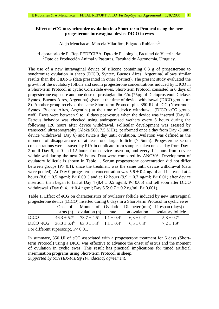# **Effect of eCG to synchronize ovulation in a Short-term Protocol using the new progesterone intravaginal device DICO in ewes**

# Alejo Menchaca<sup>1</sup>, Marcela Vilariño<sup>1</sup>, Edgardo Rubianes<sup>2</sup>

# <sup>1</sup>Laboratorio de FisRep-PEDECIBA, Dpto de Fisiología, Facultad de Veterinaria; <sup>2</sup>Dpto de Producción Animal y Pasturas, Facultad de Agronomía, Uruguay.

The use of a new intravaginal device of silicone containing 0.3 g of progesterone to synchronize ovulation in sheep (DICO, Syntex, Buenos Aires, Argentina) allows similar results than the CIDR-G (data presented in other abstract). The present study evaluated the growth of the ovulatory follicle and serum progesterone concentrations induced by DICO in a Short-term Protocol in cyclic Corriedale ewes. Short-term Protocol consisted in 6 days of progesterone exposure and one dose of prostaglandin  $F2\alpha$  (75 $\mu$ g of D cloprostenol, Ciclase, Syntex, Buenos Aires, Argentina) given at the time of device withdrawal (DICO group, n= 8). Another group received the same Short-term Protocol plus 350 IU of eCG (Novormon, Syntex, Buenos Aires, Argentina) at the time of device withdrawal (DICO+eCG group, n=8). Ewes were between 9 to 10 days post-estrus when the device was inserted (Day 0). Estrous behavior was checked using androgenized wethers every 6 hours during the following 120 hours after device withdrawal. Follicular development was asessed by transrectal ultrasonography (Aloka 500, 7,5 MHz), performed once a day from Day -3 until device withdrawal (Day 6) and twice a day until ovulation. Ovulation was defined as the moment of disappearance of at least one large follicle  $(\geq 5$ mm). Progesterone serum concentrations were assayed by RIA in duplicate from samples taken once a day from Day - 2 until Day 6, at 0 and 12 hours from device insertion, and every 12 hours from device withdrawal during the next 36 hours. Data were compared by ANOVA. Development of ovulatory follicule is shown in Table 1. Serum progesterone concentration did not differ between groups  $(P > 0.1)$ , since the treatment was the same until device withdrawal (data were pooled). At Day 0 progesterone concentration was  $5.6 \pm 0.4$  ng/ml and increased at 4 hours (8.6  $\pm$  0.5 ng/ml; P < 0.001) and at 12 hours (9,9  $\pm$  0.7 ng/ml; P < 0.01) after device insertion, then began to fall at Day 4 (8.4  $\pm$  0.5 ng/ml; P< 0.05) and fell soon after DICO withdrawal (Day 6:  $4.1 \pm 0.4$  ng/ml; Day  $6.5: 0.7 \pm 0.2$  ng/ml; P< 0.001).

| progesicione device (DICO) inscricu during o days in a short-term i rotocol in eyene ewes.                        |  |                                                                              |  |                       |                                                               |
|-------------------------------------------------------------------------------------------------------------------|--|------------------------------------------------------------------------------|--|-----------------------|---------------------------------------------------------------|
|                                                                                                                   |  |                                                                              |  |                       | Onset of Moment of Ovulation Diameter (mm) Lifespan (days) of |
|                                                                                                                   |  | estrus $(h)$ ovulation $(h)$ rate                                            |  |                       | at ovulation ovulatory follicle                               |
| <b>DICO</b>                                                                                                       |  | $46.3 \pm 5.7^{\text{a}}$ $73.7 \pm 4.5^{\text{a}}$ $1.1 \pm 0.4^{\text{a}}$ |  | $6.3 \pm 0.4^{\rm a}$ | $5.8 \pm 0.7^{\rm a}$                                         |
| $DICO+eCG$                                                                                                        |  | $36.0 \pm 6.4^b$ $63.0 \pm 5.3^b$ $1.1 \pm 0.4^a$                            |  | $6.5 \pm 0.8^{\rm a}$ | $7.2 \pm 1.9^{\rm a}$                                         |
| $\Gamma_{\text{tot}}$ 1.00 $\mu$ and $\mu$ and $\mu$ and $\Gamma_{\text{tot}}$ $\Gamma_{\text{tot}}$ $\Omega$ 0.1 |  |                                                                              |  |                       |                                                               |

Table 1. Effect of eCG on characteristics of ovulatory follicle induced by new intravaginal progesterone device (DICO) inserted during 6 days in a Short-term Protocol in cyclic ewes.

For different superscript,  $P < 0.01$ .

In summary, 350 UI of eCG associated with a progesterone treatment for 6 days (Shortterm Protocol) using a DICO was effective to advance the onset of estrus and the moment of ovulation in cyclic ewes. This result has practical implications for timed artificial insemination programs using Short-term Protocol in sheep. *Supported by SYNTEX-FisRep (Fundaciba) agreement.*